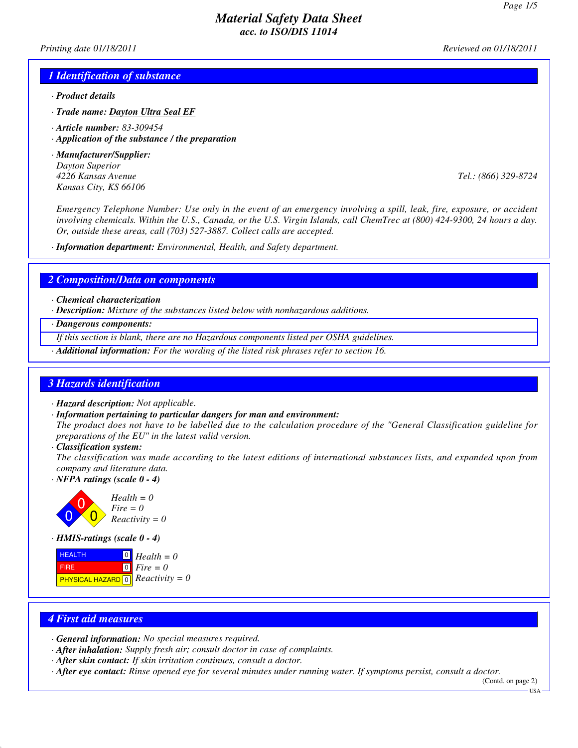*Printing date 01/18/2011 Reviewed on 01/18/2011*

#### *1 Identification of substance*

- *· Product details*
- *· Trade name: Dayton Ultra Seal EF*
- *· Article number: 83-309454*
- *· Application of the substance / the preparation*
- *· Manufacturer/Supplier: Dayton Superior Kansas City, KS 66106*

*4226 Kansas Avenue Tel.: (866) 329-8724*

*Emergency Telephone Number: Use only in the event of an emergency involving a spill, leak, fire, exposure, or accident involving chemicals. Within the U.S., Canada, or the U.S. Virgin Islands, call ChemTrec at (800) 424-9300, 24 hours a day. Or, outside these areas, call (703) 527-3887. Collect calls are accepted.*

*· Information department: Environmental, Health, and Safety department.*

#### *2 Composition/Data on components*

- *· Chemical characterization*
- *· Description: Mixture of the substances listed below with nonhazardous additions.*
- *· Dangerous components:*
- *If this section is blank, there are no Hazardous components listed per OSHA guidelines.*
- *· Additional information: For the wording of the listed risk phrases refer to section 16.*

#### *3 Hazards identification*

- *· Hazard description: Not applicable.*
- *· Information pertaining to particular dangers for man and environment:*

*The product does not have to be labelled due to the calculation procedure of the "General Classification guideline for preparations of the EU" in the latest valid version.*

*· Classification system:*

*The classification was made according to the latest editions of international substances lists, and expanded upon from company and literature data.*

*· NFPA ratings (scale 0 - 4)*



*· HMIS-ratings (scale 0 - 4)*

| <b>HEALTH</b>                                            | $\boxed{0}$ Health = 0 |
|----------------------------------------------------------|------------------------|
| <b>FIRE</b>                                              | $\circ$ Fire = 0       |
| <b>PHYSICAL HAZARD</b> $\boxed{0}$ <i>Reactivity = 0</i> |                        |

#### *4 First aid measures*

- *· General information: No special measures required.*
- *· After inhalation: Supply fresh air; consult doctor in case of complaints.*
- *· After skin contact: If skin irritation continues, consult a doctor.*
- *· After eye contact: Rinse opened eye for several minutes under running water. If symptoms persist, consult a doctor.*

(Contd. on page 2)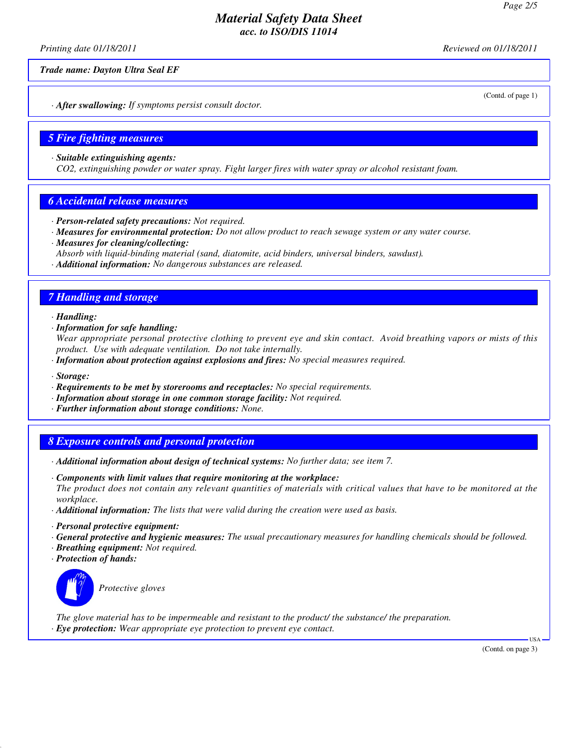*Printing date 01/18/2011 Reviewed on 01/18/2011*

*Trade name: Dayton Ultra Seal EF*

(Contd. of page 1)

*· After swallowing: If symptoms persist consult doctor.*

#### *5 Fire fighting measures*

*· Suitable extinguishing agents:*

*CO2, extinguishing powder or water spray. Fight larger fires with water spray or alcohol resistant foam.*

#### *6 Accidental release measures*

- *· Person-related safety precautions: Not required.*
- *· Measures for environmental protection: Do not allow product to reach sewage system or any water course.*
- *· Measures for cleaning/collecting:*

*Absorb with liquid-binding material (sand, diatomite, acid binders, universal binders, sawdust).*

*· Additional information: No dangerous substances are released.*

### *7 Handling and storage*

*· Handling:*

*· Information for safe handling:*

*Wear appropriate personal protective clothing to prevent eye and skin contact. Avoid breathing vapors or mists of this product. Use with adequate ventilation. Do not take internally.*

- *· Information about protection against explosions and fires: No special measures required.*
- *· Storage:*
- *· Requirements to be met by storerooms and receptacles: No special requirements.*
- *· Information about storage in one common storage facility: Not required.*
- *· Further information about storage conditions: None.*

#### *8 Exposure controls and personal protection*

- *· Additional information about design of technical systems: No further data; see item 7.*
- *· Components with limit values that require monitoring at the workplace: The product does not contain any relevant quantities of materials with critical values that have to be monitored at the workplace.*
- *· Additional information: The lists that were valid during the creation were used as basis.*
- *· Personal protective equipment:*
- *· General protective and hygienic measures: The usual precautionary measures for handling chemicals should be followed.*
- *· Breathing equipment: Not required.*
- *· Protection of hands:*



*Protective gloves*

*The glove material has to be impermeable and resistant to the product/ the substance/ the preparation. · Eye protection: Wear appropriate eye protection to prevent eye contact.*

(Contd. on page 3)

USA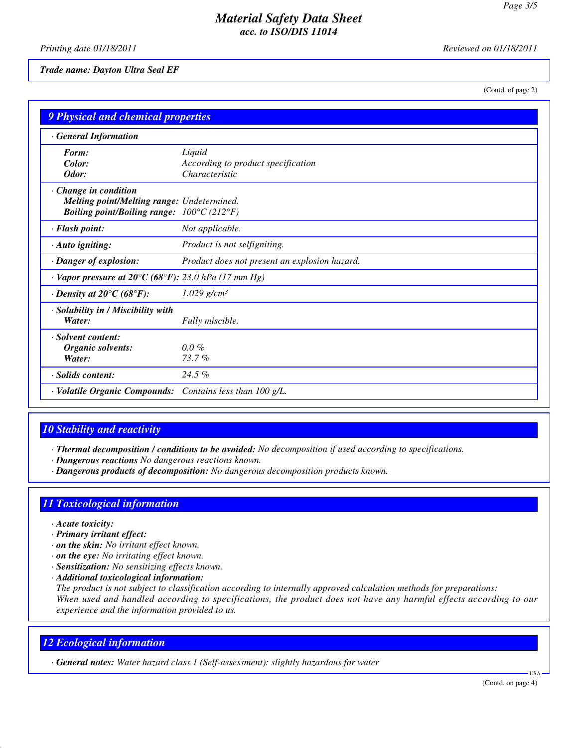*Printing date 01/18/2011 Reviewed on 01/18/2011*

*Trade name: Dayton Ultra Seal EF*

(Contd. of page 2)

| <b>9 Physical and chemical properties</b>                                                                                             |                                                                |
|---------------------------------------------------------------------------------------------------------------------------------------|----------------------------------------------------------------|
| <b>General Information</b>                                                                                                            |                                                                |
| Form:<br>Color:<br>Odor:                                                                                                              | Liquid<br>According to product specification<br>Characteristic |
| Change in condition<br>Melting point/Melting range: Undetermined.<br><b>Boiling point/Boiling range:</b> $100^{\circ}C(212^{\circ}F)$ |                                                                |
| · Flash point:                                                                                                                        | Not applicable.                                                |
| · Auto igniting:                                                                                                                      | Product is not selfigniting.                                   |
| · Danger of explosion:                                                                                                                | Product does not present an explosion hazard.                  |
| $\cdot$ Vapor pressure at 20°C (68°F): 23.0 hPa (17 mm Hg)                                                                            |                                                                |
| $\cdot$ Density at 20 $\mathrm{^{\circ}C}$ (68 $\mathrm{^{\circ}F}$ ):                                                                | $1.029$ g/cm <sup>3</sup>                                      |
| · Solubility in / Miscibility with<br>Water:                                                                                          | Fully miscible.                                                |
| · Solvent content:<br><b>Organic solvents:</b><br>Water:                                                                              | $0.0\%$<br>73.7%                                               |
| · Solids content:                                                                                                                     | $24.5\%$                                                       |
| · Volatile Organic Compounds:                                                                                                         | Contains less than $100 g/L$ .                                 |

# *10 Stability and reactivity*

*· Thermal decomposition / conditions to be avoided: No decomposition if used according to specifications.*

- *· Dangerous reactions No dangerous reactions known.*
- *· Dangerous products of decomposition: No dangerous decomposition products known.*

## *11 Toxicological information*

- *· Acute toxicity:*
- *· Primary irritant effect:*
- *· on the skin: No irritant effect known.*
- *· on the eye: No irritating effect known.*
- *· Sensitization: No sensitizing effects known.*
- *· Additional toxicological information:*

*The product is not subject to classification according to internally approved calculation methods for preparations: When used and handled according to specifications, the product does not have any harmful effects according to our experience and the information provided to us.*

## *12 Ecological information*

*· General notes: Water hazard class 1 (Self-assessment): slightly hazardous for water*

USA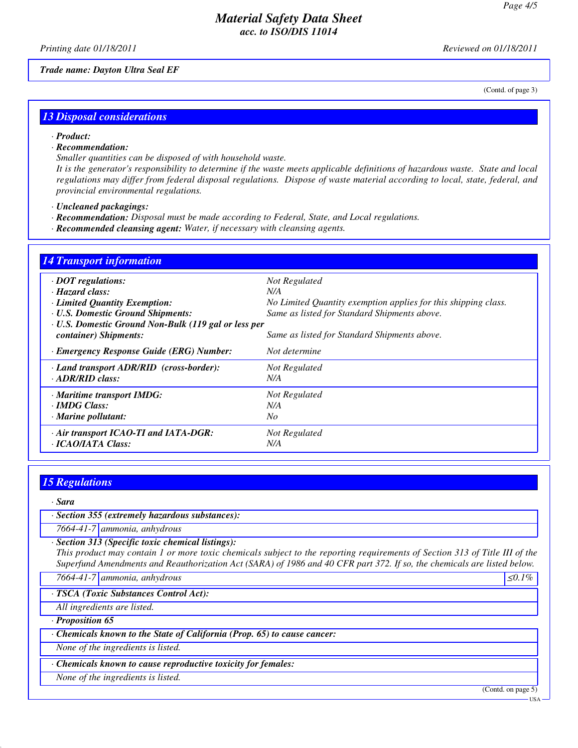(Contd. of page 3)

## *Material Safety Data Sheet acc. to ISO/DIS 11014*

*Printing date 01/18/2011 Reviewed on 01/18/2011*

*Trade name: Dayton Ultra Seal EF*

## *13 Disposal considerations*

#### *· Product:*

*· Recommendation:*

*Smaller quantities can be disposed of with household waste.*

*It is the generator's responsibility to determine if the waste meets applicable definitions of hazardous waste. State and local regulations may differ from federal disposal regulations. Dispose of waste material according to local, state, federal, and provincial environmental regulations.*

- *· Uncleaned packagings:*
- *· Recommendation: Disposal must be made according to Federal, State, and Local regulations.*
- *· Recommended cleansing agent: Water, if necessary with cleansing agents.*

| <b>14 Transport information</b>                      |                                                                |  |  |
|------------------------------------------------------|----------------------------------------------------------------|--|--|
| $\cdot$ DOT regulations:                             | Not Regulated                                                  |  |  |
| $\cdot$ Hazard class:                                | N/A                                                            |  |  |
| · Limited Quantity Exemption:                        | No Limited Quantity exemption applies for this shipping class. |  |  |
| <b>· U.S. Domestic Ground Shipments:</b>             | Same as listed for Standard Shipments above.                   |  |  |
| · U.S. Domestic Ground Non-Bulk (119 gal or less per |                                                                |  |  |
| container) Shipments:                                | Same as listed for Standard Shipments above.                   |  |  |
| · Emergency Response Guide (ERG) Number:             | Not determine                                                  |  |  |
| · Land transport ADR/RID (cross-border):             | Not Regulated                                                  |  |  |
| $\cdot$ ADR/RID class:                               | N/A                                                            |  |  |
| · Maritime transport IMDG:                           | Not Regulated                                                  |  |  |
| · IMDG Class:                                        | N/A                                                            |  |  |
| $\cdot$ Marine pollutant:                            | No                                                             |  |  |
| · Air transport ICAO-TI and IATA-DGR:                | Not Regulated                                                  |  |  |
| · ICAO/IATA Class:                                   | N/A                                                            |  |  |

## *15 Regulations*

*· Sara*

*· Section 355 (extremely hazardous substances):*

*7664-41-7 ammonia, anhydrous*

*· Section 313 (Specific toxic chemical listings):*

*This product may contain 1 or more toxic chemicals subject to the reporting requirements of Section 313 of Title III of the Superfund Amendments and Reauthorization Act (SARA) of 1986 and 40 CFR part 372. If so, the chemicals are listed below.*

*7664-41-7 | ammonia, anhydrous* ≤*0.1%* 

*· TSCA (Toxic Substances Control Act):*

*All ingredients are listed.*

*· Proposition 65*

*· Chemicals known to the State of California (Prop. 65) to cause cancer:*

*None of the ingredients is listed.*

*· Chemicals known to cause reproductive toxicity for females:*

*None of the ingredients is listed.*

(Contd. on page 5)

USA